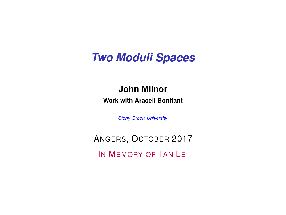### *Two Moduli Spaces*

### **John Milnor**

**Work with Araceli Bonifant**

*Stony Brook University*

ANGERS, OCTOBER 2017 IN MEMORY OF TAN LEI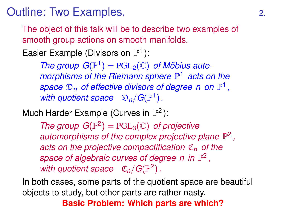Outline: Two Examples. 2.

The object of this talk will be to describe two examples of smooth group actions on smooth manifolds.

Easier Example (Divisors on  $\mathbb{P}^1$ ):

*The group*  $G(\mathbb{P}^1) = \text{PGL}_2(\mathbb{C})$  *of Möbius automorphisms of the Riemann sphere*  $\mathbb{P}^1$  *acts on the* space  $\mathfrak{D}_n$  of effective divisors of degree n on  $\mathbb{P}^1$ , with quotient space  $\mathfrak{D}_n/G(\mathbb{P}^1)$ .

Much Harder Example (Curves in  $\mathbb{P}^2$ ):

*The group*  $G(\mathbb{P}^2) = PGL_3(\mathbb{C})$  *of projective* automorphisms of the complex projective plane  $\mathbb{P}^2$ , *acts on the projective compactification* C*<sup>n</sup> of the* space of algebraic curves of degree n in  $\mathbb{P}^2$ , with quotient space  $\mathfrak{C}_n/G(\mathbb{P}^2)$ .

In both cases, some parts of the quotient space are beautiful objects to study, but other parts are rather nasty.

**Basic Problem: Which parts are which?**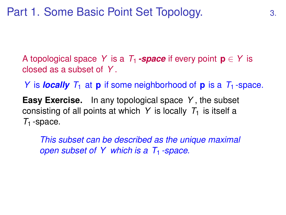A topological space *Y* is a  $T_1$ -space if every point  $p \in Y$  is closed as a subset of *Y* .

*Y* is *locally*  $T_1$  at **p** if some neighborhood of **p** is a  $T_1$ -space.

**Easy Exercise.** In any topological space *Y* , the subset consisting of all points at which *Y* is locally  $T_1$  is itself a  $T_1$ -space.

*This subset can be described as the unique maximal open subset of Y which is a T<sub>1</sub>-space.*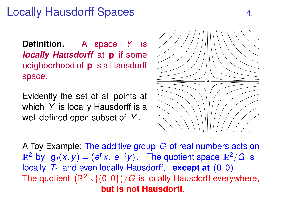### Locally Hausdorff Spaces 4.

**Definition.** A space *Y* is *locally Hausdorff* at **p** if some neighborhood of **p** is a Hausdorff space.

Evidently the set of all points at which *Y* is locally Hausdorff is a well defined open subset of *Y* .



A Toy Example: The additive group *G* of real numbers acts on  $\mathbb{R}^2$  by  $\mathbf{g}_t(x, y) = (e^t x, e^{-t} y)$ . The quotient space  $\mathbb{R}^2/G$  is locally  $T_1$  and even locally Hausdorff, **except at**  $(0,0)$ . The quotient  $(\mathbb{R}^2 \diagdown \{ (0, 0 \}) / G$  is locally Hausdorff everywhere, **but is not Hausdorff.**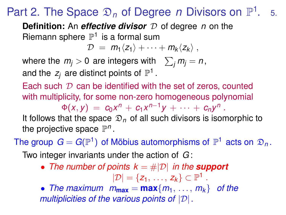#### Part 2. The Space  $\mathfrak{D}_n$  of Degree *n* Divisors on  $\mathbb{P}^1$ . 5.

**Definition:** An *effective divisor*  $D$  of degree *n* on the Riemann sphere  $\mathbb{P}^1$  is a formal sum

 $\mathcal{D} = m_1 \langle z_1 \rangle + \cdots + m_k \langle z_k \rangle$ ,

where the  $m_j > 0$  are integers with  $\sum_j m_j = n$ , and the  $z_j$  are distinct points of  $\mathbb{P}^1$  .

Each such  $\mathcal D$  can be identified with the set of zeros, counted with multiplicity, for some non-zero homogeneous polynomial

 $\Phi(x, y) = c_0 x^n + c_1 x^{n-1} y + \cdots + c_n y^n$ .

It follows that the space  $\mathfrak{D}_n$  of all such divisors is isomorphic to the projective space  $\mathbb{P}^n$ .

The group  $G = G(\mathbb{P}^1)$  of Möbius automorphisms of  $\mathbb{P}^1$  acts on  $\mathfrak{D}_n$ .

Two integer invariants under the action of *G* :

• *The number of points k* = #|D| *in the support*

 $|\mathcal{D}| = \{z_1, \ldots, z_k\} \subset \mathbb{P}^1$ .

• *The maximum*  $m_{\text{max}} = \max\{m_1, \ldots, m_k\}$  *of the multiplicities of the various points of* |D|*.*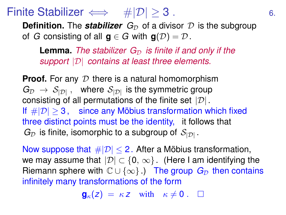### Finite Stabilizer  $\iff$  # $|\mathcal{D}| \geq 3$ . 6.

**Definition.** The **stabilizer**  $G_{\mathcal{D}}$  of a divisor  $\mathcal{D}$  is the subgroup of *G* consisting of all  $g \in G$  with  $g(D) = D$ .

**Lemma.** *The stabilizer*  $G_{\mathcal{D}}$  *is finite if and only if the support* |D| *contains at least three elements.*

**Proof.** For any  $D$  there is a natural homomorphism  $G_{\mathcal{D}} \to S_{|\mathcal{D}|}$ , where  $S_{|\mathcal{D}|}$  is the symmetric group consisting of all permutations of the finite set  $|\mathcal{D}|$ . If  $\#|\mathcal{D}| > 3$ , since any Möbius transformation which fixed three distinct points must be the identity, it follows that  $G_{\mathcal{D}}$  is finite, isomorphic to a subgroup of  $S_{|\mathcal{D}|}$ .

Now suppose that  $\#|\mathcal{D}| < 2$ . After a Möbius transformation, we may assume that  $|\mathcal{D}| \subset \{0, \infty\}$ . (Here I am identifying the Riemann sphere with  $\mathbb{C} \cup \{\infty\}$ .) The group  $G_{\mathcal{D}}$  then contains infinitely many transformations of the form

 $\mathbf{g}_{\kappa}(z) = \kappa z$  with  $\kappa \neq 0$ .  $\square$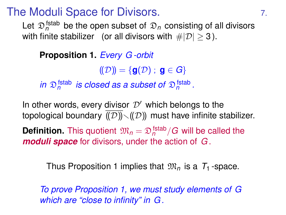### The Moduli Space for Divisors.

Let  $\mathfrak{D}^{\mathsf{fstab}}_n$  be the open subset of  $\mathfrak{D}_n$  consisting of all divisors with finite stabilizer (or all divisors with  $\#|\mathcal{D}| > 3$ ).

### **Proposition 1.** *Every G -orbit*

 $((\mathcal{D})^{\prime}) = {\bf{q}}(\mathcal{D})$ ; **q**  $\in$  *G*}

*in*  $\mathfrak{D}_n^{\text{fstab}}$  *is closed as a subset of*  $\mathfrak{D}_n^{\text{fstab}}$ *.* 

In other words, every divisor  $\mathcal{D}'$  which belongs to the topological boundary  $\overline{(\overline{\mathcal{D}})}\setminus(\overline{\mathcal{D}})$  must have infinite stabilizer. **Definition.** This quotient  $\mathfrak{M}_n = \mathfrak{D}_n^{\mathsf{fstab}} / G$  will be called the *moduli space* for divisors, under the action of *G* .

Thus Proposition 1 implies that  $\mathfrak{M}_n$  is a  $T_1$ -space.

*To prove Proposition 1, we must study elements of G which are "close to infinity" in G .*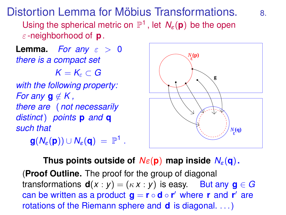Distortion Lemma for Möbius Transformations. 8.

Using the spherical metric on  $\mathbb{P}^1$ , let  $N_{\varepsilon}(\mathbf{p})$  be the open ε -neighborhood of **p**.

**Lemma.** *For any*  $\varepsilon > 0$ *there is a compact set*

 $K = K<sub>e</sub> \subset G$ 

*with the following property: For any*  $q \notin K$ , *there are* (*not necessarily distinct*) *points* **p** *and* **q** *such that*

 $\mathbf{g}(N_\varepsilon(\mathbf{p})) \cup N_\varepsilon(\mathbf{q}) = \mathbb{P}^1$  .



**Thus points outside of**  $N_{\epsilon}(\mathbf{p})$  **map inside**  $N_{\epsilon}(\mathbf{q})$ **.** (**Proof Outline.** The proof for the group of diagonal transformations  $d(x : y) = (kx : y)$  is easy. But any  $g \in G$  $\mathbf{c}$  an be written as a product  $\mathbf{g} = \mathbf{r} \circ \mathbf{d} \circ \mathbf{r}'$  where  $\mathbf{r}$  and  $\mathbf{r}'$  are rotations of the Riemann sphere and **d** is diagonal. . . .)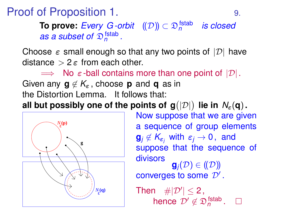**Proof of Proposition 1.** 9.

**To prove:** *Every G-orbit* ((*D*)) ⊂  $\mathfrak{D}_{n}^{\mathsf{fstab}}$  *is closed as a subset of*  $\mathfrak{D}_n^{\text{fstab}}$ .

Choose  $\varepsilon$  small enough so that any two points of  $|\mathcal{D}|$  have distance  $> 2 \epsilon$  from each other.

 $\Rightarrow$  No  $\varepsilon$ -ball contains more than one point of  $|\mathcal{D}|$ . Given any  $\mathbf{q} \notin \mathcal{K}_{\varepsilon}$ , choose **p** and **q** as in the Distortion Lemma. It follows that:

 $\mathsf{all}$  but possibly one of the points of  $\mathsf{g}(|\mathcal{D}|)$  lie in  $\mathcal{N}_\varepsilon(\mathsf{q})$ .



Now suppose that we are given a sequence of group elements  $\mathbf{g}_i \notin \mathcal{K}_{\varepsilon_i}$  with  $\varepsilon_i \to 0$ , and suppose that the sequence of divisors  $\mathbf{g}_i(\mathcal{D}) \in (\!(\mathcal{D})\!)$ converges to some  $\mathcal{D}'$ .

Then  $\#|\mathcal{D}'|\leq 2$ , hence  $\mathcal{D}' \notin \mathfrak{D}_n^{\mathsf{fstab}}$ .  $\square$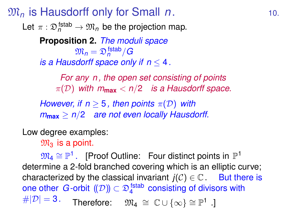### $\mathfrak{M}_n$  is Hausdorff only for Small *n*. 10.

Let  $\pi : \mathfrak{D}^{\mathsf{fstab}}_n \to \mathfrak{M}_n$  be the projection map.

**Proposition 2.** *The moduli space*  $\mathfrak{M}_n = \mathfrak{D}_n^{\,\mathsf{fstab}}/G$ *is a Hausdorff space only if n* ≤ 4*.*

*For any n , the open set consisting of points*  $\pi(\mathcal{D})$  with  $m_{\text{max}} < n/2$  *is a Hausdorff space.* 

*However, if n*  $>$  5*, then points*  $\pi(\mathcal{D})$  *with m***max** ≥ *n*/2 *are not even locally Hausdorff.*

### Low degree examples:

 $\mathfrak{M}_3$  is a point.

 $\mathfrak{M}_4 \cong \mathbb{P}^1$ . [Proof Outline: Four distinct points in  $\mathbb{P}^1$ determine a 2-fold branched covering which is an elliptic curve; characterized by the classical invariant  $j(\mathcal{C}) \in \mathbb{C}$ . But there is one other  $G$ -orbit  $(\!(\mathcal{D})\!) \subset \mathfrak{D}_4^{\,\text{(stab)}}$  consisting of divisors with  $\#|\mathcal{D}|=3.$  Therefore:  $\mathfrak{M}_4 \,\cong\, \mathbb{C}\cup \{\infty\} \cong \mathbb{P}^1$  .]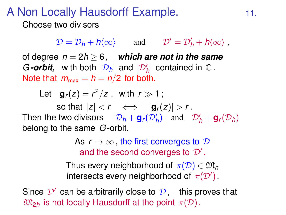### A Non Locally Hausdorff Example. 11.

Choose two divisors

 $\mathcal{D} = \mathcal{D}_h + h \langle \infty \rangle$  and  $\mathcal{D}' = \mathcal{D}'_h + h \langle \infty \rangle$ ,

of degree  $n = 2h > 6$ , which are not in the same *G*-orbit, with both  $|\mathcal{D}_h|$  and  $|\mathcal{D}'_h|$  contained in  $\mathbb C$ . Note that  $m_{\text{max}} = h = n/2$  for both.

Let  $\mathbf{g}_r(z) = r^2/z$ , with  $r \gg 1$ ;

so that  $|z| < r \iff |\mathbf{q}_r(z)| > r$ . Then the two divisors  $D_h + g_r(D'_h)$  and  $D'_h + g_r(D_h)$ belong to the same *G* -orbit.

> As  $r \to \infty$ , the first converges to  $\mathcal D$ and the second converges to  $\mathcal{D}'$ .

Thus every neighborhood of  $\pi(\mathcal{D}) \in \mathfrak{M}_n$ intersects every neighborhood of  $\pi(\mathcal{D}')$ .

Since  $\mathcal{D}'$  can be arbitrarily close to  $\mathcal{D}$ , this proves that  $\mathfrak{M}_{2h}$  is not locally Hausdorff at the point  $\pi(\mathcal{D})$ .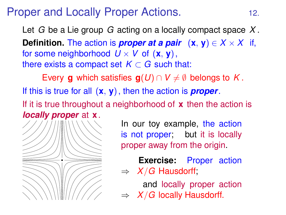### Proper and Locally Proper Actions. 12.

Let *G* be a Lie group *G* acting on a locally compact space *X* . **Definition.** The action is *proper at a pair*  $(x, y) \in X \times X$  if, for some neighborhood  $U \times V$  of  $(\mathbf{x}, \mathbf{v})$ , there exists a compact set  $K \subset G$  such that:

Every **g** which satisfies  $g(U) \cap V \neq \emptyset$  belongs to *K*.

If this is true for all (**x**, **y**), then the action is *proper*.

If it is true throughout a neighborhood of **x** then the action is *locally proper* at **x**.

> In our toy example, the action is not proper; but it is locally proper away from the origin.

> **Exercise:** Proper action  $\Rightarrow$  *X*/*G* Hausdorff;

> and locally proper action  $\Rightarrow$  *X*/*G* locally Hausdorff.

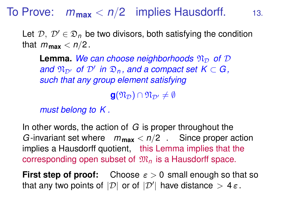### To Prove:  $m_{\text{max}} < n/2$  implies Hausdorff. 13.

Let  $\mathcal{D}, \mathcal{D}' \in \mathfrak{D}_n$  be two divisors, both satisfying the condition that  $m_{\text{max}} < n/2$ .

**Lemma.** We can choose neighborhoods  $\mathfrak{N}_D$  of  $D$  $\partial \mathcal{L}_{\mathcal{D}'}$  *of*  $\mathcal{D}'$  *in*  $\mathcal{D}_n$ *, and a compact set K*  $\subset$  *G*, *such that any group element satisfying*

 $\mathbf{g}(\mathfrak{N}_{\mathcal{D}}) \cap \mathfrak{N}_{\mathcal{D}'} \neq \emptyset$ 

*must belong to K .*

In other words, the action of *G* is proper throughout the *G* -invariant set where  $m_{\text{max}} < n/2$ . Since proper action implies a Hausdorff quotient, this Lemma implies that the corresponding open subset of  $\mathfrak{M}_n$  is a Hausdorff space.

**First step of proof:** Choose  $\varepsilon > 0$  small enough so that so that any two points of  $|\mathcal{D}|$  or of  $|\mathcal{D}'|$  have distance  $>4\,\varepsilon$ .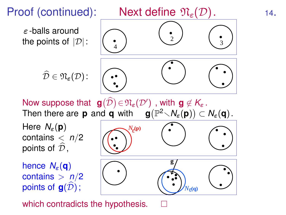

which contradicts the hypothesis.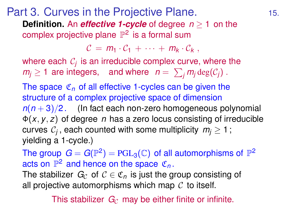### Part 3. Curves in the Projective Plane. **Definition.** An *effective 1-cycle* of degree *n* ≥ 1 on the complex projective plane  $\mathbb{P}^2$  is a formal sum

 $C = m_1 \cdot C_1 + \cdots + m_k \cdot C_k$ 

where each  $\mathcal{C}_j$  is an irreducible complex curve, where the  $m_j \geq 1$  are integers, and where  $n = \sum_j m_j \deg(\mathcal{C}_j)$ .

The space  $\mathfrak{C}_n$  of all effective 1-cycles can be given the structure of a complex projective space of dimension  $n(n+3)/2$ . (In fact each non-zero homogeneous polynomial Φ(*x*, *y*, *z*) of degree *n* has a zero locus consisting of irreducible curves  $\mathcal{C}_j$  , each counted with some multiplicity  $\,m_j\geq 1$  ; yielding a 1-cycle.)

The group  $\ G = G(\mathbb{P}^2) = \mathrm{PGL}_3(\mathbb{C})$  of all automorphisms of  $\mathbb{P}^2$ acts on  $\mathbb{P}^2$  and hence on the space  $\mathfrak{C}_n$ .

The stabilizer  $G_c$  of  $c \in \mathfrak{C}_n$  is just the group consisting of all projective automorphisms which map  $C$  to itself.

This stabilizer  $G_{\mathcal{C}}$  may be either finite or infinite.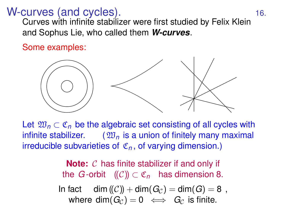# W-curves (and cycles). The contract of the state of the state of the state of the state of the state of the state of the state of the state of the state of the state of the state of the state of the state of the state of t

Curves with infinite stabilizer were first studied by Felix Klein and Sophus Lie, who called them *W-curves*.

Some examples:



Let  $\mathfrak{W}_n \subset \mathfrak{C}_n$  be the algebraic set consisting of all cycles with infinite stabilizer.  $(\mathfrak{W}_n)$  is a union of finitely many maximal irreducible subvarieties of  $\mathfrak{C}_n$ , of varying dimension.)

> **Note:** C has finite stabilizer if and only if the *G*-orbit  $((\mathcal{C})\cap\mathfrak{C}_n)$  has dimension 8.

In fact dim  $(\mathcal{C}) + \dim(G_{\mathcal{C}}) = \dim(G) = 8$ , where  $\dim(G_{\mathcal{C}}) = 0 \iff G_{\mathcal{C}}$  is finite.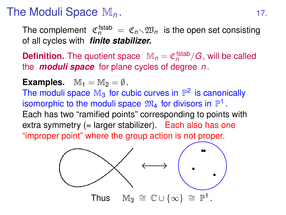## The Moduli Space  $M_n$ . 17.

The complement  $\mathfrak{C}_n^{\mathsf{fstab}} \ = \ \mathfrak{C}_n \diagdown \mathfrak{W}_n \ \text{ is the open set consisting.}$ of all cycles with *finite stabilizer.*

**Definition.** The quotient space  $\mathbb{M}_n = \mathfrak{C}_n^{\text{fstab}} / G$ , will be called the *moduli space* for plane cycles of degree *n* .

**Examples.**  $M_1 = M_2 = \emptyset$ .

The moduli space  $\mathbb{M}_3$  for cubic curves in  $\mathbb{P}^2$  is canonically isomorphic to the moduli space  $\mathfrak{M}_4$  for divisors in  $\mathbb{P}^1$  . Each has two "ramified points" corresponding to points with extra symmetry (= larger stabilizer). Each also has one "improper point" where the group action is not proper.

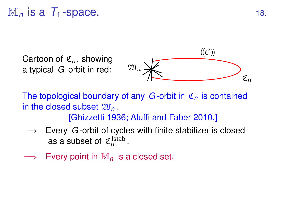# $M_n$  is a  $T_1$ -space. 18.

Cartoon of C*<sup>n</sup>* , showing a typical *G* -orbit in red:



The topological boundary of any *G* -orbit in C*<sup>n</sup>* is contained in the closed subset  $\mathfrak{W}_n$ . [Ghizzetti 1936; Aluffi and Faber 2010.]

- $\implies$  Every *G*-orbit of cycles with finite stabilizer is closed as a subset of  $\mathfrak{C}_n^{\mathsf{fstab}}$ .
- Every point in  $M_n$  is a closed set.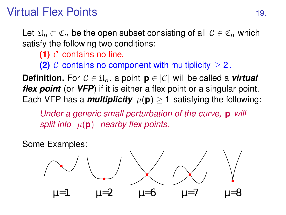# Virtual Flex Points 19.

Let  $\mathfrak{U}_n \subset \mathfrak{C}_n$  be the open subset consisting of all  $\mathcal{C} \in \mathfrak{C}_n$  which satisfy the following two conditions:

**(1)** C contains no line.

**(2)**  $\mathcal{C}$  contains no component with multiplicity  $\geq 2$ .

**Definition.** For  $C \in \mathfrak{U}_n$ , a point  $\mathbf{p} \in |\mathcal{C}|$  will be called a *virtual flex point* (or *VFP*) if it is either a flex point or a singular point. Each VFP has a *multiplicity*  $\mu(\mathbf{p}) \geq 1$  satisfying the following:

*Under a generic small perturbation of the curve,* **p** *will split into*  $\mu(\mathbf{p})$  *nearby flex points.* 

Some Examples:

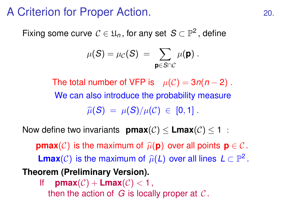### A Criterion for Proper Action. 20.

Fixing some curve  $\mathcal{C} \in \mathfrak{U}_n,$  for any set  $\mathcal{S} \subset \mathbb{P}^2$ , define

$$
\mu(S) = \mu_{\mathcal{C}}(S) = \sum_{\mathbf{p} \in S \cap \mathcal{C}} \mu(\mathbf{p}).
$$

The total number of VFP is  $\mu(\mathcal{C}) = 3n(n-2)$ . We can also introduce the probability measure  $\widehat{\mu}(S) = \mu(S)/\mu(C) \in [0,1]$ .

Now define two invariants **pmax**( $C$ ) < **Lmax**( $C$ ) < 1 :

**pmax**(C) is the maximum of  $\widehat{\mu}(\mathbf{p})$  over all points  $\mathbf{p} \in \mathcal{C}$ . **Lmax**(*C*) is the maximum of  $\widehat{\mu}(L)$  over all lines  $L \subset \mathbb{P}^2$ . **Theorem (Preliminary Version).**

If  $\text{pmax}(\mathcal{C}) + \text{Lmax}(\mathcal{C}) < 1$ , then the action of  $G$  is locally proper at  $C$ .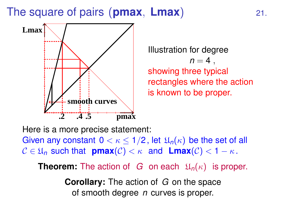The square of pairs (**pmax**, **Lmax**) 21.



Illustration for degree  $n = 4$ . showing three typical rectangles where the action is known to be proper.

Here is a more precise statement: Given any constant  $0 < \kappa \leq 1/2$ , let  $\mathfrak{U}_n(\kappa)$  be the set of all  $C \in \mathfrak{U}_n$  such that **pmax**(C) <  $\kappa$  and **Lmax**(C) <  $1 - \kappa$ .

**Theorem:** The action of *G* on each  $\mathfrak{U}_n(\kappa)$  is proper.

**Corollary:** The action of *G* on the space of smooth degree *n* curves is proper.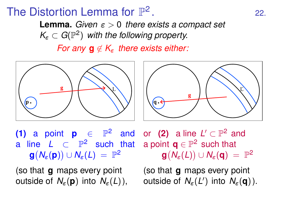# The Distortion Lemma for  $\mathbb{P}^2$

**Lemma.** *Given* ε > 0 *there exists a compact set*  $K_{\varepsilon} \subset G(\mathbb{P}^2)$  with the following property.

*For any*  $\mathbf{q} \notin K_{\epsilon}$  *there exists either:* 





**(1)** a point **p**  $\in$   $\mathbb{P}^2$  and a line  $L \subset \mathbb{P}^2$  such that  $\mathbf{g}(N_\varepsilon(\mathbf{p})) \cup N_\varepsilon(L) = \mathbb{P}^2$ 

or (2) a line  $L' \subset \mathbb{P}^2$  and a point  $\mathbf{q} \in \mathbb{P}^2$  such that  $\mathbf{g}(N_\varepsilon(L))\cup N_\varepsilon(\mathbf{q})\;=\;\mathbb{P}^2$ 

(so that **g** maps every point outside of  $N_{\varepsilon}(\mathbf{p})$  into  $N_{\varepsilon}(L)$ ), (so that **g** maps every point outside of *N*ε(*L* 0 ) into *N*ε(**q**)).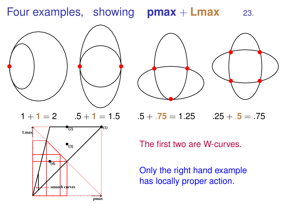### Four examples, showing **pmax** + **Lmax** 23.



$$
1 + 1 = 2
$$
  $.5 + 1 = 1.5$ 





 $1.5 + 0.75 = 1.25$  .25  $+ 0.5 = 0.75$ 

The first two are W-curves.

Only the right hand example has locally proper action.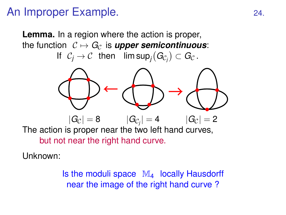### An Improper Example. 24.

**Lemma.** In a region where the action is proper, the function  $C \mapsto G_C$  is *upper semicontinuous*:

If  $\mathcal{C}_j \to \mathcal{C}$  then lim sup $_j(\mathit{G}_{\mathcal{C}_j}) \subset \mathit{G}_{\mathcal{C}}$ .



but not near the right hand curve.

Unknown:

Is the moduli space  $\mathbb{M}_{4}$  locally Hausdorff near the image of the right hand curve ?